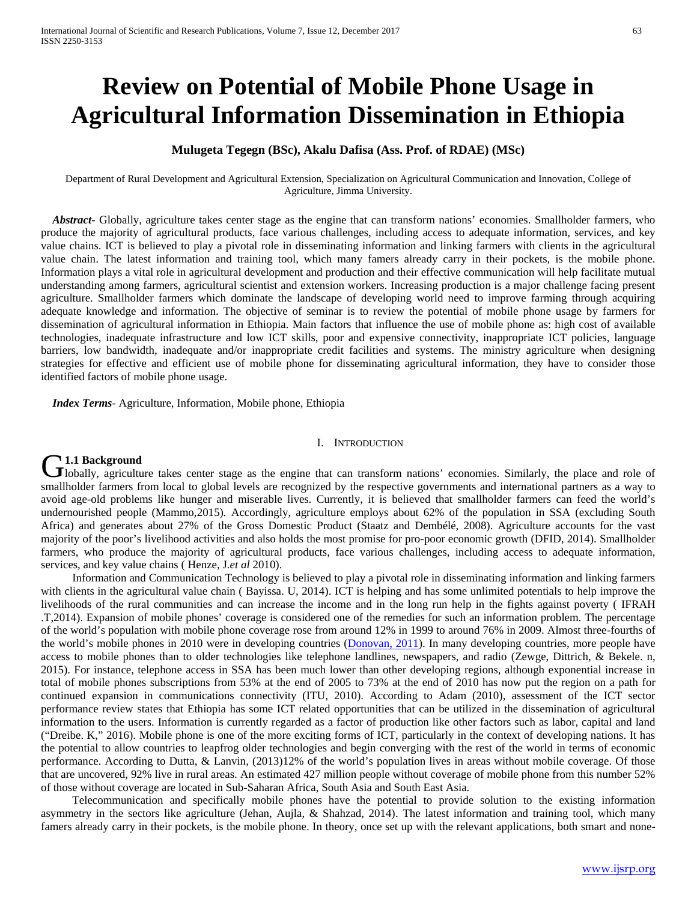# **Review on Potential of Mobile Phone Usage in Agricultural Information Dissemination in Ethiopia**

# **Mulugeta Tegegn (BSc), Akalu Dafisa (Ass. Prof. of RDAE) (MSc)**

Department of Rural Development and Agricultural Extension, Specialization on Agricultural Communication and Innovation, College of Agriculture, Jimma University.

*Abstract***-** Globally, agriculture takes center stage as the engine that can transform nations' economies. Smallholder farmers, who produce the majority of agricultural products, face various challenges, including access to adequate information, services, and key value chains. ICT is believed to play a pivotal role in disseminating information and linking farmers with clients in the agricultural value chain. The latest information and training tool, which many famers already carry in their pockets, is the mobile phone. Information plays a vital role in agricultural development and production and their effective communication will help facilitate mutual understanding among farmers, agricultural scientist and extension workers. Increasing production is a major challenge facing present agriculture. Smallholder farmers which dominate the landscape of developing world need to improve farming through acquiring adequate knowledge and information. The objective of seminar is to review the potential of mobile phone usage by farmers for dissemination of agricultural information in Ethiopia. Main factors that influence the use of mobile phone as: high cost of available technologies, inadequate infrastructure and low ICT skills, poor and expensive connectivity, inappropriate ICT policies, language barriers, low bandwidth, inadequate and/or inappropriate credit facilities and systems. The ministry agriculture when designing strategies for effective and efficient use of mobile phone for disseminating agricultural information, they have to consider those identified factors of mobile phone usage.

 *Index Terms*- Agriculture, Information, Mobile phone, Ethiopia

#### I. INTRODUCTION

# **1.1 Background**

**C1.1 Background**<br>
Globally, agriculture takes center stage as the engine that can transform nations' economies. Similarly, the place and role of smallholder farmers from local to global levels are recognized by the respective governments and international partners as a way to avoid age-old problems like hunger and miserable lives. Currently, it is believed that smallholder farmers can feed the world's undernourished people (Mammo,2015)*.* Accordingly, agriculture employs about 62% of the population in SSA (excluding South Africa) and generates about 27% of the Gross Domestic Product (Staatz and Dembélé, 2008). Agriculture accounts for the vast majority of the poor's livelihood activities and also holds the most promise for pro-poor economic growth (DFID, 2014). Smallholder farmers, who produce the majority of agricultural products, face various challenges, including access to adequate information, services, and key value chains ( Henze, J.*et al* 2010).

 Information and Communication Technology is believed to play a pivotal role in disseminating information and linking farmers with clients in the agricultural value chain (Bayissa, U, 2014). ICT is helping and has some unlimited potentials to help improve the livelihoods of the rural communities and can increase the income and in the long run help in the fights against poverty ( IFRAH .T,2014). Expansion of mobile phones' coverage is considered one of the remedies for such an information problem. The percentage of the world's population with mobile phone coverage rose from around 12% in 1999 to around 76% in 2009. Almost three-fourths of the world's mobile phones in 2010 were in developing countries [\(Donovan, 2011\)](http://www.sciencedirect.com/science/article/pii/S0305750X14004082#b0035). In many developing countries, more people have access to mobile phones than to older technologies like telephone landlines, newspapers, and radio (Zewge, Dittrich, & Bekele. n, 2015). For instance, telephone access in SSA has been much lower than other developing regions, although exponential increase in total of mobile phones subscriptions from 53% at the end of 2005 to 73% at the end of 2010 has now put the region on a path for continued expansion in communications connectivity (ITU, 2010). According to Adam (2010), assessment of the ICT sector performance review states that Ethiopia has some ICT related opportunities that can be utilized in the dissemination of agricultural information to the users. Information is currently regarded as a factor of production like other factors such as labor, capital and land ("Dreibe. K," 2016). Mobile phone is one of the more exciting forms of ICT, particularly in the context of developing nations. It has the potential to allow countries to leapfrog older technologies and begin converging with the rest of the world in terms of economic performance. According to Dutta, & Lanvin, (2013)12% of the world's population lives in areas without mobile coverage. Of those that are uncovered, 92% live in rural areas. An estimated 427 million people without coverage of mobile phone from this number 52% of those without coverage are located in Sub-Saharan Africa, South Asia and South East Asia.

 Telecommunication and specifically mobile phones have the potential to provide solution to the existing information asymmetry in the sectors like agriculture (Jehan, Aujla, & Shahzad, 2014). The latest information and training tool, which many famers already carry in their pockets, is the mobile phone. In theory, once set up with the relevant applications, both smart and none-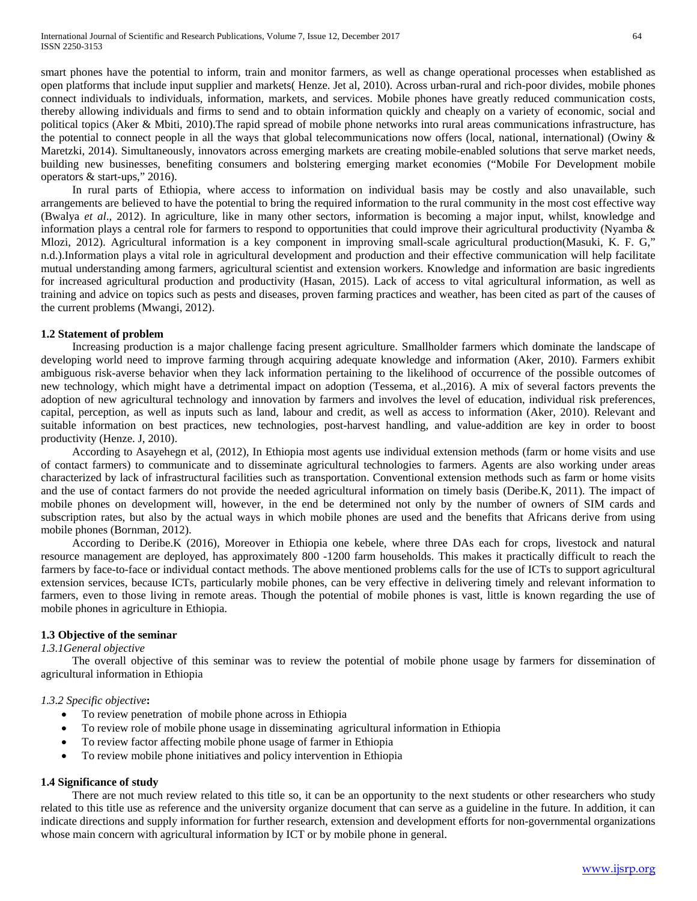smart phones have the potential to inform, train and monitor farmers, as well as change operational processes when established as open platforms that include input supplier and markets( Henze. Jet al, 2010). Across urban-rural and rich-poor divides, mobile phones connect individuals to individuals, information, markets, and services. Mobile phones have greatly reduced communication costs, thereby allowing individuals and firms to send and to obtain information quickly and cheaply on a variety of economic, social and political topics (Aker & Mbiti, 2010).The rapid spread of mobile phone networks into rural areas communications infrastructure, has the potential to connect people in all the ways that global telecommunications now offers (local, national, international) (Owiny & Maretzki, 2014). Simultaneously, innovators across emerging markets are creating mobile-enabled solutions that serve market needs, building new businesses, benefiting consumers and bolstering emerging market economies ("Mobile For Development mobile operators & start-ups," 2016).

In rural parts of Ethiopia, where access to information on individual basis may be costly and also unavailable, such arrangements are believed to have the potential to bring the required information to the rural community in the most cost effective way (Bwalya *et al*., 2012). In agriculture, like in many other sectors, information is becoming a major input, whilst, knowledge and information plays a central role for farmers to respond to opportunities that could improve their agricultural productivity (Nyamba & Mlozi, 2012). Agricultural information is a key component in improving small-scale agricultural production(Masuki, K. F. G," n.d.).Information plays a vital role in agricultural development and production and their effective communication will help facilitate mutual understanding among farmers, agricultural scientist and extension workers. Knowledge and information are basic ingredients for increased agricultural production and productivity (Hasan, 2015). Lack of access to vital agricultural information, as well as training and advice on topics such as pests and diseases, proven farming practices and weather, has been cited as part of the causes of the current problems (Mwangi, 2012).

## **1.2 Statement of problem**

 Increasing production is a major challenge facing present agriculture. Smallholder farmers which dominate the landscape of developing world need to improve farming through acquiring adequate knowledge and information (Aker, 2010). Farmers exhibit ambiguous risk-averse behavior when they lack information pertaining to the likelihood of occurrence of the possible outcomes of new technology, which might have a detrimental impact on adoption (Tessema, et al.,2016). A mix of several factors prevents the adoption of new agricultural technology and innovation by farmers and involves the level of education, individual risk preferences, capital, perception, as well as inputs such as land, labour and credit, as well as access to information (Aker, 2010). Relevant and suitable information on best practices, new technologies, post-harvest handling, and value-addition are key in order to boost productivity (Henze. J, 2010).

 According to Asayehegn et al, (2012), In Ethiopia most agents use individual extension methods (farm or home visits and use of contact farmers) to communicate and to disseminate agricultural technologies to farmers. Agents are also working under areas characterized by lack of infrastructural facilities such as transportation. Conventional extension methods such as farm or home visits and the use of contact farmers do not provide the needed agricultural information on timely basis (Deribe.K, 2011). The impact of mobile phones on development will, however, in the end be determined not only by the number of owners of SIM cards and subscription rates, but also by the actual ways in which mobile phones are used and the benefits that Africans derive from using mobile phones (Bornman, 2012).

 According to Deribe.K (2016), Moreover in Ethiopia one kebele, where three DAs each for crops, livestock and natural resource management are deployed, has approximately 800 -1200 farm households. This makes it practically difficult to reach the farmers by face-to-face or individual contact methods. The above mentioned problems calls for the use of ICTs to support agricultural extension services, because ICTs, particularly mobile phones, can be very effective in delivering timely and relevant information to farmers, even to those living in remote areas. Though the potential of mobile phones is vast, little is known regarding the use of mobile phones in agriculture in Ethiopia.

## **1.3 Objective of the seminar**

#### *1.3.1General objective*

 The overall objective of this seminar was to review the potential of mobile phone usage by farmers for dissemination of agricultural information in Ethiopia

## *1.3.2 Specific objective***:**

- To review penetration of mobile phone across in Ethiopia
- To review role of mobile phone usage in disseminating agricultural information in Ethiopia
- To review factor affecting mobile phone usage of farmer in Ethiopia
- To review mobile phone initiatives and policy intervention in Ethiopia

## **1.4 Significance of study**

There are not much review related to this title so, it can be an opportunity to the next students or other researchers who study related to this title use as reference and the university organize document that can serve as a guideline in the future. In addition, it can indicate directions and supply information for further research, extension and development efforts for non-governmental organizations whose main concern with agricultural information by ICT or by mobile phone in general.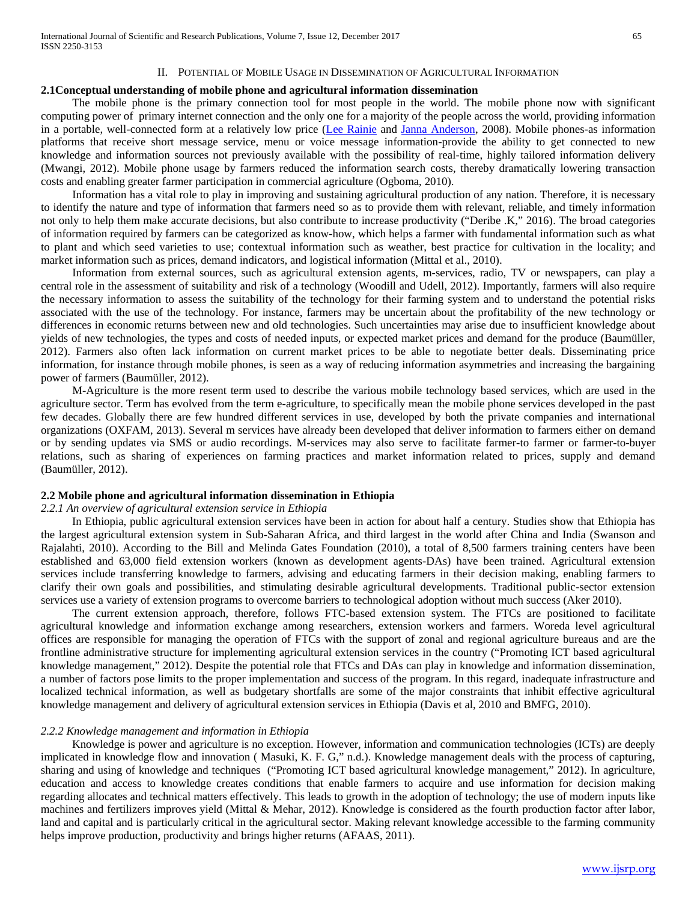## II. POTENTIAL OF MOBILE USAGE IN DISSEMINATION OF AGRICULTURAL INFORMATION

#### **2.1Conceptual understanding of mobile phone and agricultural information dissemination**

 The mobile phone is the primary connection tool for most people in the world. The mobile phone now with significant computing power of primary internet connection and the only one for a majority of the people across the world, providing information in a portable, well-connected form at a relatively low price [\(Lee Rainie](http://www.pewresearch.org/staff/lee-rainie/) and [Janna Anderson,](http://www.pewinternet.org/author/janderson/) 2008). Mobile phones-as information platforms that receive short message service, menu or voice message information-provide the ability to get connected to new knowledge and information sources not previously available with the possibility of real-time, highly tailored information delivery (Mwangi, 2012). Mobile phone usage by farmers reduced the information search costs, thereby dramatically lowering transaction costs and enabling greater farmer participation in commercial agriculture (Ogboma, 2010).

 Information has a vital role to play in improving and sustaining agricultural production of any nation. Therefore, it is necessary to identify the nature and type of information that farmers need so as to provide them with relevant, reliable, and timely information not only to help them make accurate decisions, but also contribute to increase productivity ("Deribe .K," 2016). The broad categories of information required by farmers can be categorized as know-how, which helps a farmer with fundamental information such as what to plant and which seed varieties to use; contextual information such as weather, best practice for cultivation in the locality; and market information such as prices, demand indicators, and logistical information (Mittal et al., 2010).

 Information from external sources, such as agricultural extension agents, m-services, radio, TV or newspapers, can play a central role in the assessment of suitability and risk of a technology (Woodill and Udell, 2012). Importantly, farmers will also require the necessary information to assess the suitability of the technology for their farming system and to understand the potential risks associated with the use of the technology. For instance, farmers may be uncertain about the profitability of the new technology or differences in economic returns between new and old technologies. Such uncertainties may arise due to insufficient knowledge about yields of new technologies, the types and costs of needed inputs, or expected market prices and demand for the produce (Baumüller, 2012). Farmers also often lack information on current market prices to be able to negotiate better deals. Disseminating price information, for instance through mobile phones, is seen as a way of reducing information asymmetries and increasing the bargaining power of farmers (Baumüller, 2012).

 M-Agriculture is the more resent term used to describe the various mobile technology based services, which are used in the agriculture sector. Term has evolved from the term e-agriculture, to specifically mean the mobile phone services developed in the past few decades. Globally there are few hundred different services in use, developed by both the private companies and international organizations (OXFAM, 2013). Several m services have already been developed that deliver information to farmers either on demand or by sending updates via SMS or audio recordings. M-services may also serve to facilitate farmer-to farmer or farmer-to-buyer relations, such as sharing of experiences on farming practices and market information related to prices, supply and demand (Baumüller, 2012).

#### **2.2 Mobile phone and agricultural information dissemination in Ethiopia**

## *2.2.1 An overview of agricultural extension service in Ethiopia*

 In Ethiopia, public agricultural extension services have been in action for about half a century. Studies show that Ethiopia has the largest agricultural extension system in Sub-Saharan Africa, and third largest in the world after China and India (Swanson and Rajalahti, 2010). According to the Bill and Melinda Gates Foundation (2010), a total of 8,500 farmers training centers have been established and 63,000 field extension workers (known as development agents-DAs) have been trained. Agricultural extension services include transferring knowledge to farmers, advising and educating farmers in their decision making, enabling farmers to clarify their own goals and possibilities, and stimulating desirable agricultural developments. Traditional public-sector extension services use a variety of extension programs to overcome barriers to technological adoption without much success (Aker 2010).

 The current extension approach, therefore, follows FTC-based extension system. The FTCs are positioned to facilitate agricultural knowledge and information exchange among researchers, extension workers and farmers. Woreda level agricultural offices are responsible for managing the operation of FTCs with the support of zonal and regional agriculture bureaus and are the frontline administrative structure for implementing agricultural extension services in the country ("Promoting ICT based agricultural knowledge management," 2012). Despite the potential role that FTCs and DAs can play in knowledge and information dissemination, a number of factors pose limits to the proper implementation and success of the program. In this regard, inadequate infrastructure and localized technical information, as well as budgetary shortfalls are some of the major constraints that inhibit effective agricultural knowledge management and delivery of agricultural extension services in Ethiopia (Davis et al, 2010 and BMFG, 2010).

## *2.2.2 Knowledge management and information in Ethiopia*

 Knowledge is power and agriculture is no exception. However, information and communication technologies (ICTs) are deeply implicated in knowledge flow and innovation ( Masuki, K. F. G," n.d.). Knowledge management deals with the process of capturing, sharing and using of knowledge and techniques ("Promoting ICT based agricultural knowledge management," 2012). In agriculture, education and access to knowledge creates conditions that enable farmers to acquire and use information for decision making regarding allocates and technical matters effectively. This leads to growth in the adoption of technology; the use of modern inputs like machines and fertilizers improves yield (Mittal & Mehar, 2012). Knowledge is considered as the fourth production factor after labor, land and capital and is particularly critical in the agricultural sector. Making relevant knowledge accessible to the farming community helps improve production, productivity and brings higher returns (AFAAS, 2011).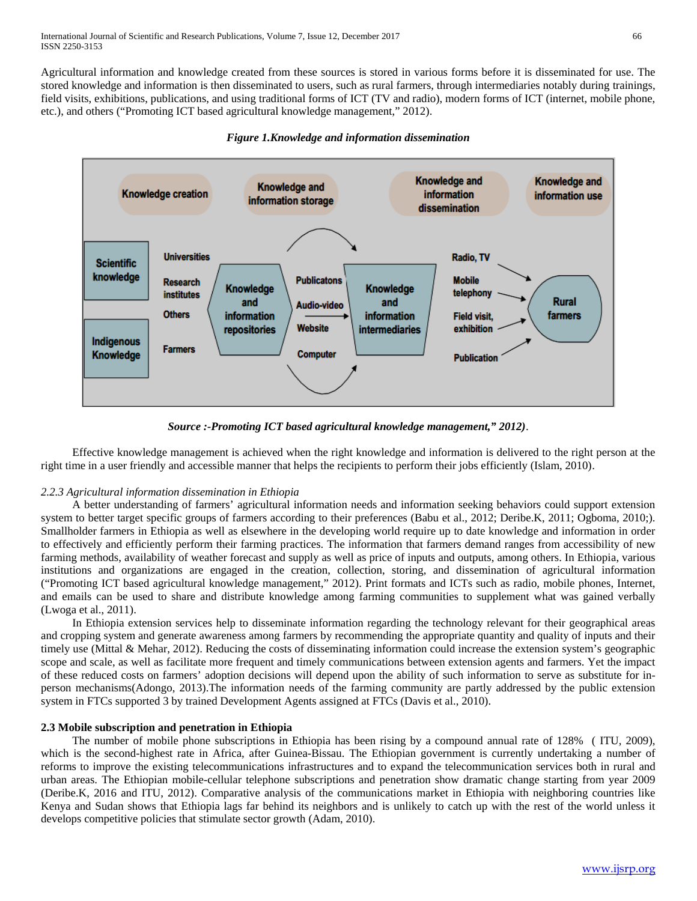Agricultural information and knowledge created from these sources is stored in various forms before it is disseminated for use. The stored knowledge and information is then disseminated to users, such as rural farmers, through intermediaries notably during trainings, field visits, exhibitions, publications, and using traditional forms of ICT (TV and radio), modern forms of ICT (internet, mobile phone, etc.), and others ("Promoting ICT based agricultural knowledge management," 2012).



*Figure 1.Knowledge and information dissemination*

*Source :-Promoting ICT based agricultural knowledge management," 2012)*.

 Effective knowledge management is achieved when the right knowledge and information is delivered to the right person at the right time in a user friendly and accessible manner that helps the recipients to perform their jobs efficiently (Islam, 2010).

# *2.2.3 Agricultural information dissemination in Ethiopia*

 A better understanding of farmers' agricultural information needs and information seeking behaviors could support extension system to better target specific groups of farmers according to their preferences (Babu et al., 2012; Deribe.K, 2011; Ogboma, 2010;). Smallholder farmers in Ethiopia as well as elsewhere in the developing world require up to date knowledge and information in order to effectively and efficiently perform their farming practices. The information that farmers demand ranges from accessibility of new farming methods, availability of weather forecast and supply as well as price of inputs and outputs, among others. In Ethiopia, various institutions and organizations are engaged in the creation, collection, storing, and dissemination of agricultural information ("Promoting ICT based agricultural knowledge management," 2012). Print formats and ICTs such as radio, mobile phones, Internet, and emails can be used to share and distribute knowledge among farming communities to supplement what was gained verbally (Lwoga et al., 2011).

 In Ethiopia extension services help to disseminate information regarding the technology relevant for their geographical areas and cropping system and generate awareness among farmers by recommending the appropriate quantity and quality of inputs and their timely use (Mittal & Mehar, 2012). Reducing the costs of disseminating information could increase the extension system's geographic scope and scale, as well as facilitate more frequent and timely communications between extension agents and farmers. Yet the impact of these reduced costs on farmers' adoption decisions will depend upon the ability of such information to serve as substitute for inperson mechanisms(Adongo, 2013).The information needs of the farming community are partly addressed by the public extension system in FTCs supported 3 by trained Development Agents assigned at FTCs (Davis et al., 2010).

## **2.3 Mobile subscription and penetration in Ethiopia**

 The number of mobile phone subscriptions in Ethiopia has been rising by a compound annual rate of 128% ( ITU, 2009), which is the second-highest rate in Africa, after Guinea-Bissau. The Ethiopian government is currently undertaking a number of reforms to improve the existing telecommunications infrastructures and to expand the telecommunication services both in rural and urban areas. The Ethiopian mobile-cellular telephone subscriptions and penetration show dramatic change starting from year 2009 (Deribe.K, 2016 and ITU, 2012). Comparative analysis of the communications market in Ethiopia with neighboring countries like Kenya and Sudan shows that Ethiopia lags far behind its neighbors and is unlikely to catch up with the rest of the world unless it develops competitive policies that stimulate sector growth (Adam, 2010).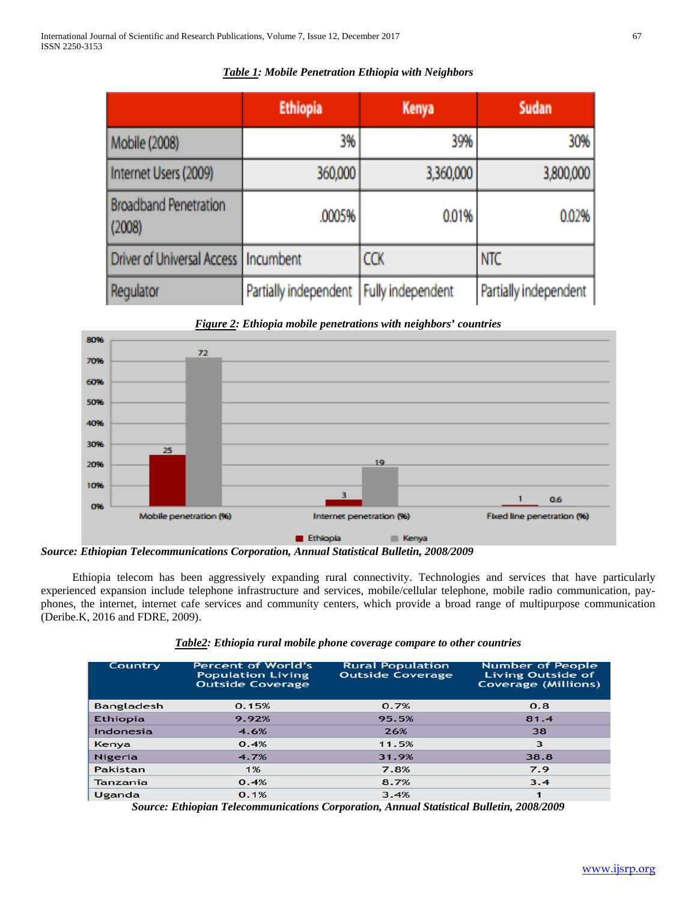|                                        | <b>Ethiopia</b>                           | <b>Kenya</b> | Sudan                 |
|----------------------------------------|-------------------------------------------|--------------|-----------------------|
| Mobile (2008)                          | 3%                                        | 39%          | 30%                   |
| Internet Users (2009)                  | 360,000                                   | 3,360,000    | 3,800,000             |
| <b>Broadband Penetration</b><br>(2008) | .0005%                                    | 0.01%        | 0.02%                 |
| Driver of Universal Access   Incumbent |                                           | <b>CCK</b>   | NTC                   |
| Regulator                              | Partially independent   Fully independent |              | Partially independent |

*Table 1: Mobile Penetration Ethiopia with Neighbors*

*Figure 2: Ethiopia mobile penetrations with neighbors' countries*



*Source: Ethiopian Telecommunications Corporation, Annual Statistical Bulletin, 2008/2009*

 Ethiopia telecom has been aggressively expanding rural connectivity. Technologies and services that have particularly experienced expansion include telephone infrastructure and services, mobile/cellular telephone, mobile radio communication, payphones, the internet, internet cafe services and community centers, which provide a broad range of multipurpose communication (Deribe.K, 2016 and FDRE, 2009).

|  |  | Table2: Ethiopia rural mobile phone coverage compare to other countries |  |  |
|--|--|-------------------------------------------------------------------------|--|--|
|--|--|-------------------------------------------------------------------------|--|--|

| Country           | <b>Percent of World's</b><br><b>Population Living</b><br><b>Outside Coverage</b> | <b>Rural Population</b><br><b>Outside Coverage</b> | <b>Number of People</b><br><b>Living Outside of</b><br><b>Coverage (Millions)</b> |
|-------------------|----------------------------------------------------------------------------------|----------------------------------------------------|-----------------------------------------------------------------------------------|
| <b>Bangladesh</b> | 0.15%                                                                            | 0.7%                                               | 0.8                                                                               |
| <b>Ethiopia</b>   | 9.92%                                                                            | 95.5%                                              | 81.4                                                                              |
| Indonesia         | 4.6%                                                                             | 26%                                                | 38                                                                                |
| Kenya             | 0.4%                                                                             | 11.5%                                              | 3                                                                                 |
| Nigeria           | 4.7%                                                                             | 31.9%                                              | 38.8                                                                              |
| Pakistan          | 1%                                                                               | 7.8%                                               | 7.9                                                                               |
| Tanzania          | 0.4%                                                                             | 8.7%                                               | 3.4                                                                               |
| Uganda            | 0.1%                                                                             | 3.4%                                               | 1                                                                                 |

*Source: Ethiopian Telecommunications Corporation, Annual Statistical Bulletin, 2008/2009*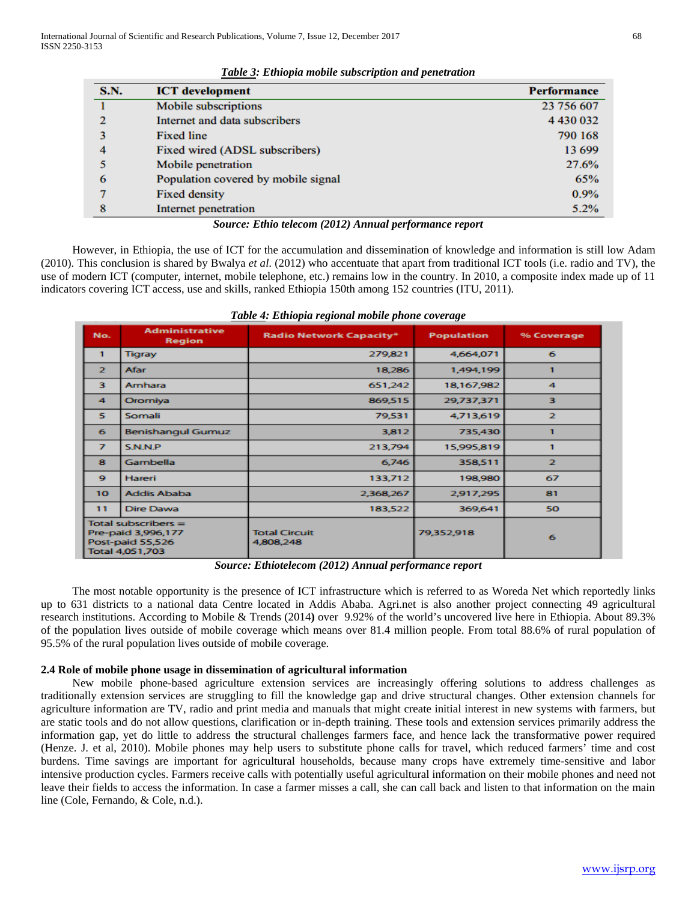| <b>ICT</b> development              | <b>Performance</b>                                                                 |
|-------------------------------------|------------------------------------------------------------------------------------|
| Mobile subscriptions                | 23 756 607                                                                         |
| Internet and data subscribers       | 4 4 30 0 32                                                                        |
| <b>Fixed line</b>                   | 790 168                                                                            |
| Fixed wired (ADSL subscribers)      | 13 699                                                                             |
| Mobile penetration                  | 27.6%                                                                              |
| Population covered by mobile signal | 65%                                                                                |
| <b>Fixed density</b>                | 0.9%                                                                               |
| Internet penetration                | 5.2%                                                                               |
|                                     | $\mathbf{r} \cdot \mathbf{r}$<br>(0.012)<br>$\mathbf{r}$<br>$\mathbf{r}$<br>$\sim$ |

*Table 3: Ethiopia mobile subscription and penetration*

*Source: Ethio telecom (2012) Annual performance report*

 However, in Ethiopia, the use of ICT for the accumulation and dissemination of knowledge and information is still low Adam (2010). This conclusion is shared by Bwalya *et al*. (2012) who accentuate that apart from traditional ICT tools (i.e. radio and TV), the use of modern ICT (computer, internet, mobile telephone, etc.) remains low in the country. In 2010, a composite index made up of 11 indicators covering ICT access, use and skills, ranked Ethiopia 150th among 152 countries (ITU, 2011).

| No.                  | <b>Administrative</b><br>Region                                                    | <b>Radio Network Capacity*</b>    | <b>Population</b> | % Coverage           |
|----------------------|------------------------------------------------------------------------------------|-----------------------------------|-------------------|----------------------|
| $\mathbf{1}$         | <b>Tigray</b>                                                                      | 279,821                           | 4,664,071         | 6                    |
| $\mathbf{z}$         | Afar                                                                               | 18,286                            | 1,494,199         | 1                    |
| з                    | Amhara                                                                             | 651,242                           | 18,167,982        | $\blacktriangleleft$ |
| $\blacktriangleleft$ | Oromiya                                                                            | 869,515                           | 29,737,371        | з                    |
| 5.                   | Somali                                                                             | 79,531                            | 4,713,619         | $\overline{2}$       |
| 6                    | <b>Benishangul Gumuz</b>                                                           | 3,812                             | 735,430           |                      |
| $\overline{ }$       | <b>S.N.N.P</b>                                                                     | 213,794                           | 15,995,819        |                      |
| 8                    | Gambella                                                                           | 6,746                             | 358,511           | $\overline{2}$       |
| ۰                    | Hareri                                                                             | 133,712                           | 198,980           | 67                   |
| 10                   | <b>Addis Ababa</b>                                                                 | 2,368,267                         | 2,917,295         | 81                   |
| 11                   | Dire Dawa                                                                          | 183,522                           | 369,641           | 50                   |
|                      | Total subscribers $=$<br>Pre-paid 3,996,177<br>Post-paid 55,526<br>Total 4,051,703 | <b>Total Circuit</b><br>4,808,248 | 79,352,918        | 6                    |

*Table 4: Ethiopia regional mobile phone coverage*

*Source: Ethiotelecom (2012) Annual performance report*

 The most notable opportunity is the presence of ICT infrastructure which is referred to as Woreda Net which reportedly links up to 631 districts to a national data Centre located in Addis Ababa. Agri.net is also another project connecting 49 agricultural research institutions. According to Mobile & Trends (2014**)** over 9.92% of the world's uncovered live here in Ethiopia. About 89.3% of the population lives outside of mobile coverage which means over 81.4 million people. From total 88.6% of rural population of 95.5% of the rural population lives outside of mobile coverage.

# **2.4 Role of mobile phone usage in dissemination of agricultural information**

 New mobile phone-based agriculture extension services are increasingly offering solutions to address challenges as traditionally extension services are struggling to fill the knowledge gap and drive structural changes. Other extension channels for agriculture information are TV, radio and print media and manuals that might create initial interest in new systems with farmers, but are static tools and do not allow questions, clarification or in-depth training. These tools and extension services primarily address the information gap, yet do little to address the structural challenges farmers face, and hence lack the transformative power required (Henze. J. et al, 2010). Mobile phones may help users to substitute phone calls for travel, which reduced farmers' time and cost burdens. Time savings are important for agricultural households, because many crops have extremely time-sensitive and labor intensive production cycles. Farmers receive calls with potentially useful agricultural information on their mobile phones and need not leave their fields to access the information. In case a farmer misses a call, she can call back and listen to that information on the main line (Cole, Fernando, & Cole, n.d.).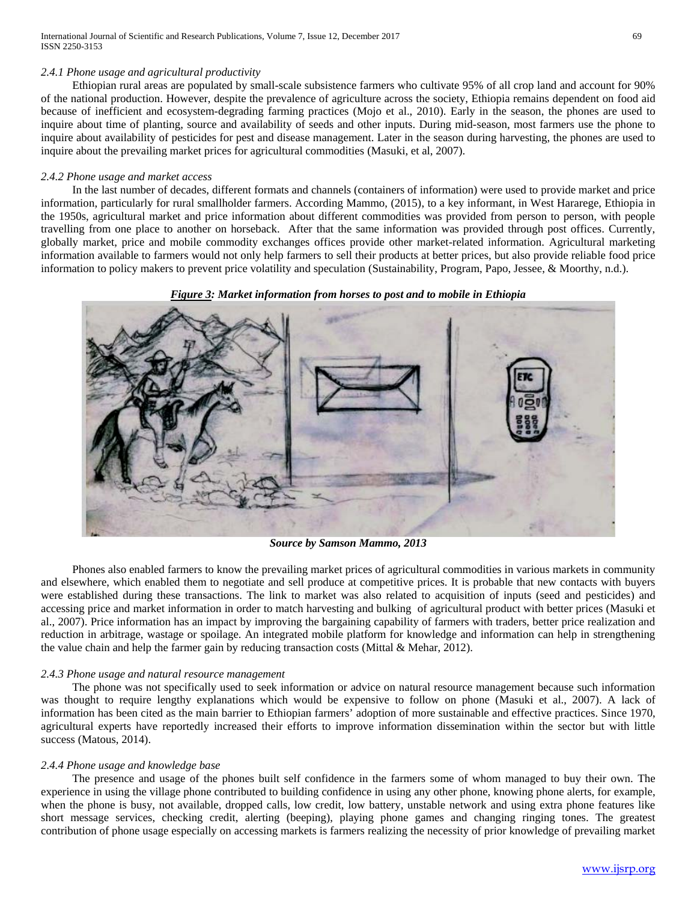International Journal of Scientific and Research Publications, Volume 7, Issue 12, December 2017 69 ISSN 2250-3153

#### *2.4.1 Phone usage and agricultural productivity*

 Ethiopian rural areas are populated by small-scale subsistence farmers who cultivate 95% of all crop land and account for 90% of the national production. However, despite the prevalence of agriculture across the society, Ethiopia remains dependent on food aid because of inefficient and ecosystem-degrading farming practices (Mojo et al., 2010). Early in the season, the phones are used to inquire about time of planting, source and availability of seeds and other inputs. During mid-season, most farmers use the phone to inquire about availability of pesticides for pest and disease management. Later in the season during harvesting, the phones are used to inquire about the prevailing market prices for agricultural commodities (Masuki, et al, 2007).

#### *2.4.2 Phone usage and market access*

 In the last number of decades, different formats and channels (containers of information) were used to provide market and price information, particularly for rural smallholder farmers. According Mammo, (2015), to a key informant, in West Hararege, Ethiopia in the 1950s, agricultural market and price information about different commodities was provided from person to person, with people travelling from one place to another on horseback. After that the same information was provided through post offices. Currently, globally market, price and mobile commodity exchanges offices provide other market-related information. Agricultural marketing information available to farmers would not only help farmers to sell their products at better prices, but also provide reliable food price information to policy makers to prevent price volatility and speculation (Sustainability, Program, Papo, Jessee, & Moorthy, n.d.).

#### *Figure 3: Market information from horses to post and to mobile in Ethiopia*



*Source by Samson Mammo, 2013*

 Phones also enabled farmers to know the prevailing market prices of agricultural commodities in various markets in community and elsewhere, which enabled them to negotiate and sell produce at competitive prices. It is probable that new contacts with buyers were established during these transactions. The link to market was also related to acquisition of inputs (seed and pesticides) and accessing price and market information in order to match harvesting and bulking of agricultural product with better prices (Masuki et al., 2007). Price information has an impact by improving the bargaining capability of farmers with traders, better price realization and reduction in arbitrage, wastage or spoilage. An integrated mobile platform for knowledge and information can help in strengthening the value chain and help the farmer gain by reducing transaction costs (Mittal & Mehar, 2012).

## *2.4.3 Phone usage and natural resource management*

 The phone was not specifically used to seek information or advice on natural resource management because such information was thought to require lengthy explanations which would be expensive to follow on phone (Masuki et al., 2007). A lack of information has been cited as the main barrier to Ethiopian farmers' adoption of more sustainable and effective practices. Since 1970, agricultural experts have reportedly increased their efforts to improve information dissemination within the sector but with little success (Matous, 2014).

#### *2.4.4 Phone usage and knowledge base*

 The presence and usage of the phones built self confidence in the farmers some of whom managed to buy their own. The experience in using the village phone contributed to building confidence in using any other phone, knowing phone alerts, for example, when the phone is busy, not available, dropped calls, low credit, low battery, unstable network and using extra phone features like short message services, checking credit, alerting (beeping), playing phone games and changing ringing tones. The greatest contribution of phone usage especially on accessing markets is farmers realizing the necessity of prior knowledge of prevailing market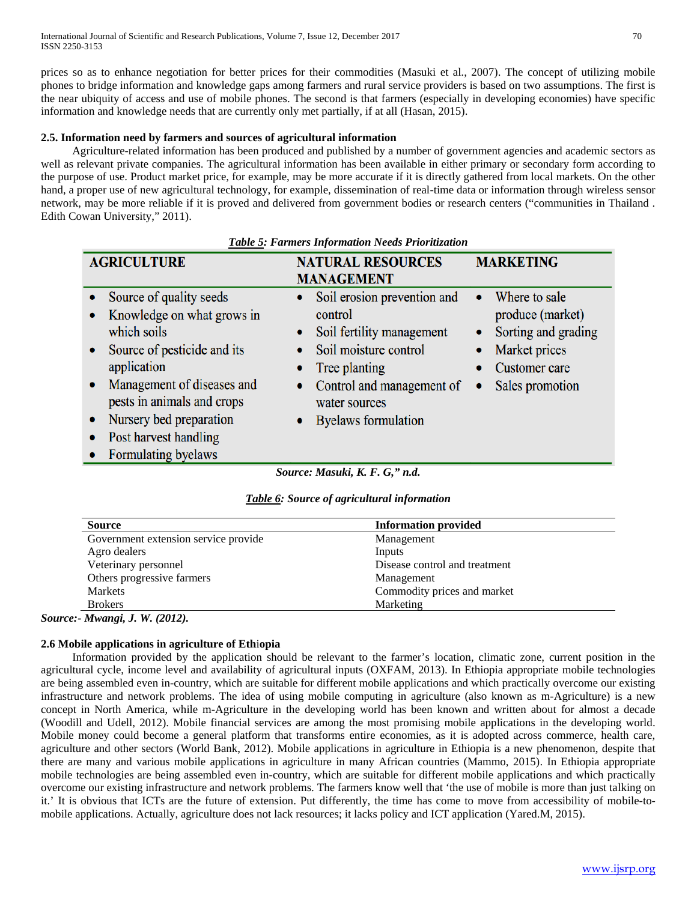prices so as to enhance negotiation for better prices for their commodities (Masuki et al., 2007). The concept of utilizing mobile phones to bridge information and knowledge gaps among farmers and rural service providers is based on two assumptions. The first is the near ubiquity of access and use of mobile phones. The second is that farmers (especially in developing economies) have specific information and knowledge needs that are currently only met partially, if at all (Hasan, 2015).

## **2.5. Information need by farmers and sources of agricultural information**

 Agriculture-related information has been produced and published by a number of government agencies and academic sectors as well as relevant private companies. The agricultural information has been available in either primary or secondary form according to the purpose of use. Product market price, for example, may be more accurate if it is directly gathered from local markets. On the other hand, a proper use of new agricultural technology, for example, dissemination of real-time data or information through wireless sensor network, may be more reliable if it is proved and delivered from government bodies or research centers ("communities in Thailand . Edith Cowan University," 2011).

| <b>AGRICULTURE</b>                                                                                                                                                                                                                                                                  | <b>NATURAL RESOURCES</b><br><b>MANAGEMENT</b>                                                                                                                                                                    | <b>MARKETING</b>                                                                                                                                            |  |
|-------------------------------------------------------------------------------------------------------------------------------------------------------------------------------------------------------------------------------------------------------------------------------------|------------------------------------------------------------------------------------------------------------------------------------------------------------------------------------------------------------------|-------------------------------------------------------------------------------------------------------------------------------------------------------------|--|
| Source of quality seeds<br>Knowledge on what grows in<br>which soils<br>Source of pesticide and its<br>$\bullet$<br>application<br>Management of diseases and<br>pests in animals and crops<br>Nursery bed preparation<br>$\bullet$<br>Post harvest handling<br>Formulating byelaws | Soil erosion prevention and<br>۰<br>control<br>Soil fertility management<br>$\bullet$<br>Soil moisture control<br>Tree planting<br>٠<br>Control and management of<br>water sources<br><b>Byelaws</b> formulation | Where to sale<br>$\bullet$<br>produce (market)<br>Sorting and grading<br>$\bullet$<br>Market prices<br><b>Customer</b> care<br>Sales promotion<br>$\bullet$ |  |
| Source: Masuki, K. F. G," n.d.                                                                                                                                                                                                                                                      |                                                                                                                                                                                                                  |                                                                                                                                                             |  |

*Table 5: Farmers Information Needs Prioritization*

| <b>Table 6:</b> Source of agricultural information |  |  |  |
|----------------------------------------------------|--|--|--|
|----------------------------------------------------|--|--|--|

| <b>Information provided</b>   |
|-------------------------------|
| Management                    |
| Inputs                        |
| Disease control and treatment |
| Management                    |
| Commodity prices and market   |
| Marketing                     |
|                               |

*Source:- Mwangi, J. W. (2012).*

# **2.6 Mobile applications in agriculture of Eth**i**opia**

 Information provided by the application should be relevant to the farmer's location, climatic zone, current position in the agricultural cycle, income level and availability of agricultural inputs (OXFAM, 2013). In Ethiopia appropriate mobile technologies are being assembled even in-country, which are suitable for different mobile applications and which practically overcome our existing infrastructure and network problems. The idea of using mobile computing in agriculture (also known as m-Agriculture) is a new concept in North America, while m-Agriculture in the developing world has been known and written about for almost a decade (Woodill and Udell, 2012). Mobile financial services are among the most promising mobile applications in the developing world. Mobile money could become a general platform that transforms entire economies, as it is adopted across commerce, health care, agriculture and other sectors (World Bank, 2012). Mobile applications in agriculture in Ethiopia is a new phenomenon, despite that there are many and various mobile applications in agriculture in many African countries (Mammo, 2015). In Ethiopia appropriate mobile technologies are being assembled even in-country, which are suitable for different mobile applications and which practically overcome our existing infrastructure and network problems. The farmers know well that 'the use of mobile is more than just talking on it.' It is obvious that ICTs are the future of extension. Put differently, the time has come to move from accessibility of mobile-tomobile applications. Actually, agriculture does not lack resources; it lacks policy and ICT application (Yared.M, 2015).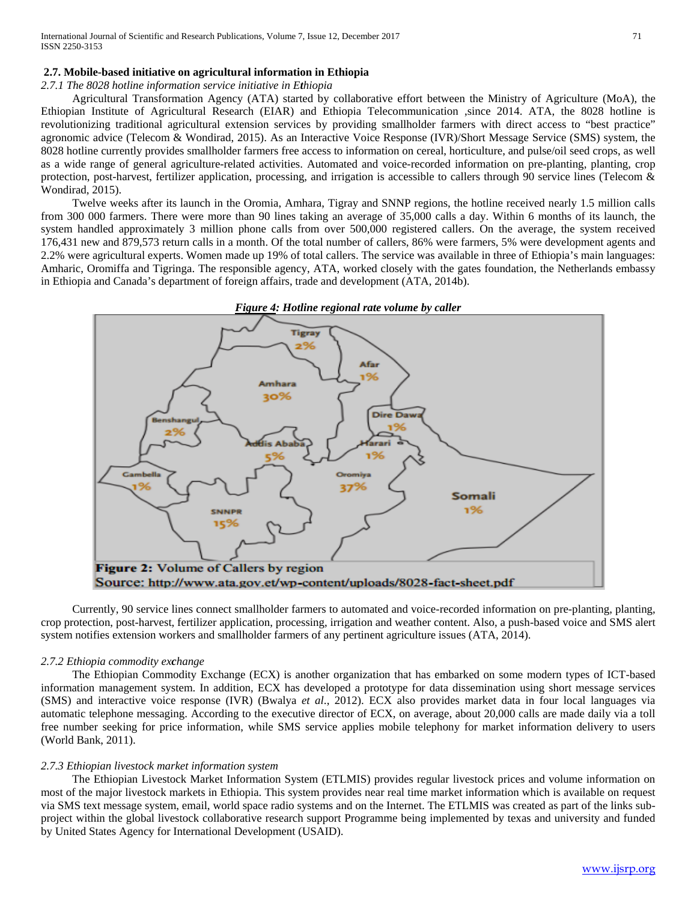#### **2.7. Mobile-based initiative on agricultural information in Ethiopia**

*2.7.1 The 8028 hotline information service initiative in Ethiopia*

 Agricultural Transformation Agency (ATA) started by collaborative effort between the Ministry of Agriculture (MoA), the Ethiopian Institute of Agricultural Research (EIAR) and Ethiopia Telecommunication ,since 2014. ATA, the 8028 hotline is revolutionizing traditional agricultural extension services by providing smallholder farmers with direct access to "best practice" agronomic advice (Telecom & Wondirad, 2015). As an Interactive Voice Response (IVR)/Short Message Service (SMS) system, the 8028 hotline currently provides smallholder farmers free access to information on cereal, horticulture, and pulse/oil seed crops, as well as a wide range of general agriculture-related activities. Automated and voice-recorded information on pre-planting, planting, crop protection, post-harvest, fertilizer application, processing, and irrigation is accessible to callers through 90 service lines (Telecom  $\&$ Wondirad, 2015).

 Twelve weeks after its launch in the Oromia, Amhara, Tigray and SNNP regions, the hotline received nearly 1.5 million calls from 300 000 farmers. There were more than 90 lines taking an average of 35,000 calls a day. Within 6 months of its launch, the system handled approximately 3 million phone calls from over 500,000 registered callers. On the average, the system received 176,431 new and 879,573 return calls in a month. Of the total number of callers, 86% were farmers, 5% were development agents and 2.2% were agricultural experts. Women made up 19% of total callers. The service was available in three of Ethiopia's main languages: Amharic, Oromiffa and Tigringa. The responsible agency, ATA, worked closely with the gates foundation, the Netherlands embassy in Ethiopia and Canada's department of foreign affairs, trade and development (ATA, 2014b).



 Currently, 90 service lines connect smallholder farmers to automated and voice-recorded information on pre-planting, planting, crop protection, post-harvest, fertilizer application, processing, irrigation and weather content. Also, a push-based voice and SMS alert system notifies extension workers and smallholder farmers of any pertinent agriculture issues (ATA, 2014).

#### *2.7.2 Ethiopia commodity exchange*

 The Ethiopian Commodity Exchange (ECX) is another organization that has embarked on some modern types of ICT-based information management system. In addition, ECX has developed a prototype for data dissemination using short message services (SMS) and interactive voice response (IVR) (Bwalya *et al*., 2012). ECX also provides market data in four local languages via automatic telephone messaging. According to the executive director of ECX, on average, about 20,000 calls are made daily via a toll free number seeking for price information, while SMS service applies mobile telephony for market information delivery to users (World Bank, 2011).

## *2.7.3 Ethiopian livestock market information system*

 The Ethiopian Livestock Market Information System (ETLMIS) provides regular livestock prices and volume information on most of the major livestock markets in Ethiopia. This system provides near real time market information which is available on request via SMS text message system, email, world space radio systems and on the Internet. The ETLMIS was created as part of the links subproject within the global livestock collaborative research support Programme being implemented by texas and university and funded by United States Agency for International Development (USAID).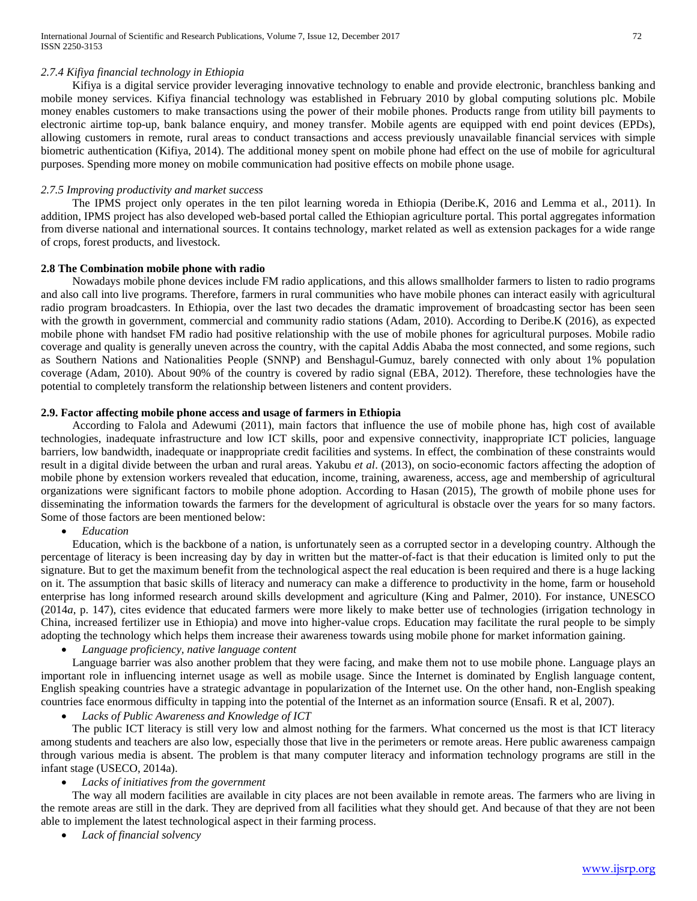## *2.7.4 Kifiya financial technology in Ethiopia*

 Kifiya is a digital service provider leveraging innovative technology to enable and provide electronic, branchless banking and mobile money services. Kifiya financial technology was established in February 2010 by global computing solutions plc. Mobile money enables customers to make transactions using the power of their mobile phones. Products range from utility bill payments to electronic airtime top-up, bank balance enquiry, and money transfer. Mobile agents are equipped with end point devices (EPDs), allowing customers in remote, rural areas to conduct transactions and access previously unavailable financial services with simple biometric authentication (Kifiya, 2014). The additional money spent on mobile phone had effect on the use of mobile for agricultural purposes. Spending more money on mobile communication had positive effects on mobile phone usage.

## *2.7.5 Improving productivity and market success*

 The IPMS project only operates in the ten pilot learning woreda in Ethiopia (Deribe.K, 2016 and Lemma et al., 2011). In addition, IPMS project has also developed web-based portal called the Ethiopian agriculture portal. This portal aggregates information from diverse national and international sources. It contains technology, market related as well as extension packages for a wide range of crops, forest products, and livestock.

## **2.8 The Combination mobile phone with radio**

 Nowadays mobile phone devices include FM radio applications, and this allows smallholder farmers to listen to radio programs and also call into live programs. Therefore, farmers in rural communities who have mobile phones can interact easily with agricultural radio program broadcasters. In Ethiopia, over the last two decades the dramatic improvement of broadcasting sector has been seen with the growth in government, commercial and community radio stations (Adam, 2010). According to Deribe.K (2016), as expected mobile phone with handset FM radio had positive relationship with the use of mobile phones for agricultural purposes. Mobile radio coverage and quality is generally uneven across the country, with the capital Addis Ababa the most connected, and some regions, such as Southern Nations and Nationalities People (SNNP) and Benshagul-Gumuz, barely connected with only about 1% population coverage (Adam, 2010). About 90% of the country is covered by radio signal (EBA, 2012). Therefore, these technologies have the potential to completely transform the relationship between listeners and content providers.

# **2.9. Factor affecting mobile phone access and usage of farmers in Ethiopia**

 According to Falola and Adewumi (2011), main factors that influence the use of mobile phone has, high cost of available technologies, inadequate infrastructure and low ICT skills, poor and expensive connectivity, inappropriate ICT policies, language barriers, low bandwidth, inadequate or inappropriate credit facilities and systems. In effect, the combination of these constraints would result in a digital divide between the urban and rural areas. Yakubu *et al*. (2013), on socio-economic factors affecting the adoption of mobile phone by extension workers revealed that education, income, training, awareness, access, age and membership of agricultural organizations were significant factors to mobile phone adoption. According to Hasan (2015), The growth of mobile phone uses for disseminating the information towards the farmers for the development of agricultural is obstacle over the years for so many factors. Some of those factors are been mentioned below:

• *Education*

 Education, which is the backbone of a nation, is unfortunately seen as a corrupted sector in a developing country. Although the percentage of literacy is been increasing day by day in written but the matter-of-fact is that their education is limited only to put the signature. But to get the maximum benefit from the technological aspect the real education is been required and there is a huge lacking on it. The assumption that basic skills of literacy and numeracy can make a difference to productivity in the home, farm or household enterprise has long informed research around skills development and agriculture (King and Palmer, 2010). For instance, UNESCO (2014*a*, p. 147), cites evidence that educated farmers were more likely to make better use of technologies (irrigation technology in China, increased fertilizer use in Ethiopia) and move into higher-value crops. Education may facilitate the rural people to be simply adopting the technology which helps them increase their awareness towards using mobile phone for market information gaining.

• *Language proficiency, native language content*

 Language barrier was also another problem that they were facing, and make them not to use mobile phone. Language plays an important role in influencing internet usage as well as mobile usage. Since the Internet is dominated by English language content, English speaking countries have a strategic advantage in popularization of the Internet use. On the other hand, non-English speaking countries face enormous difficulty in tapping into the potential of the Internet as an information source (Ensafi. R et al, 2007).

• *Lacks of Public Awareness and Knowledge of ICT*

 The public ICT literacy is still very low and almost nothing for the farmers. What concerned us the most is that ICT literacy among students and teachers are also low, especially those that live in the perimeters or remote areas. Here public awareness campaign through various media is absent. The problem is that many computer literacy and information technology programs are still in the infant stage (USECO, 2014a).

## • *Lacks of initiatives from the government*

 The way all modern facilities are available in city places are not been available in remote areas. The farmers who are living in the remote areas are still in the dark. They are deprived from all facilities what they should get. And because of that they are not been able to implement the latest technological aspect in their farming process.

• *Lack of financial solvency*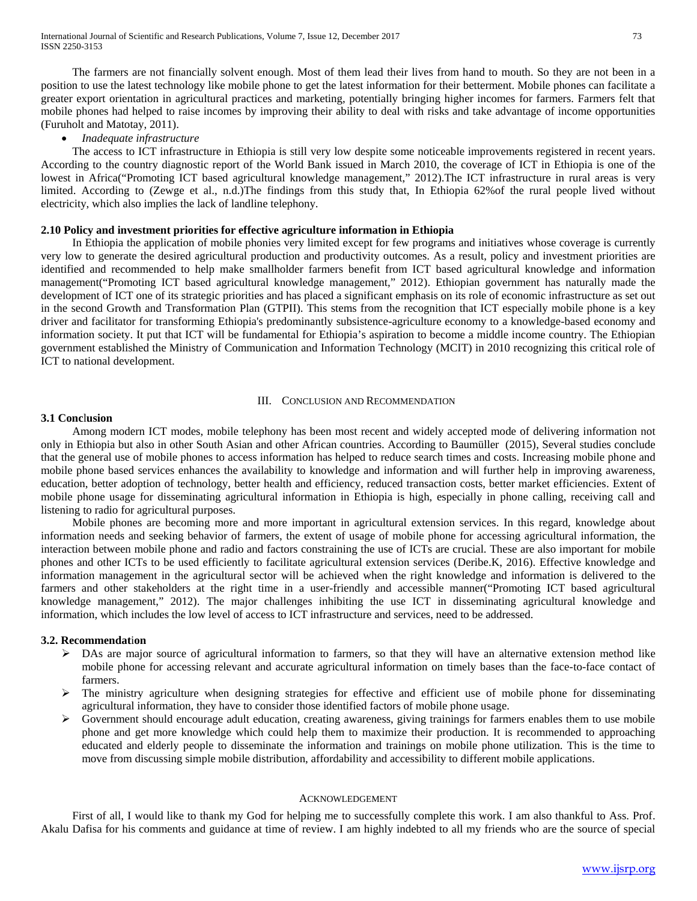The farmers are not financially solvent enough. Most of them lead their lives from hand to mouth. So they are not been in a position to use the latest technology like mobile phone to get the latest information for their betterment. Mobile phones can facilitate a greater export orientation in agricultural practices and marketing, potentially bringing higher incomes for farmers. Farmers felt that mobile phones had helped to raise incomes by improving their ability to deal with risks and take advantage of income opportunities (Furuholt and Matotay, 2011).

## • *Inadequate infrastructure*

 The access to ICT infrastructure in Ethiopia is still very low despite some noticeable improvements registered in recent years. According to the country diagnostic report of the World Bank issued in March 2010, the coverage of ICT in Ethiopia is one of the lowest in Africa("Promoting ICT based agricultural knowledge management," 2012).The ICT infrastructure in rural areas is very limited. According to (Zewge et al., n.d.)The findings from this study that, In Ethiopia 62%of the rural people lived without electricity, which also implies the lack of landline telephony.

## **2.10 Policy and investment priorities for effective agriculture information in Ethiopia**

 In Ethiopia the application of mobile phonies very limited except for few programs and initiatives whose coverage is currently very low to generate the desired agricultural production and productivity outcomes. As a result, policy and investment priorities are identified and recommended to help make smallholder farmers benefit from ICT based agricultural knowledge and information management("Promoting ICT based agricultural knowledge management," 2012). Ethiopian government has naturally made the development of ICT one of its strategic priorities and has placed a significant emphasis on its role of economic infrastructure as set out in the second Growth and Transformation Plan (GTPII). This stems from the recognition that ICT especially mobile phone is a key driver and facilitator for transforming Ethiopia's predominantly subsistence-agriculture economy to a knowledge-based economy and information society. It put that ICT will be fundamental for Ethiopia's aspiration to become a middle income country. The Ethiopian government established the Ministry of Communication and Information Technology (MCIT) in 2010 recognizing this critical role of ICT to national development.

## III. CONCLUSION AND RECOMMENDATION

## **3.1 Conc**l**usion**

 Among modern ICT modes, mobile telephony has been most recent and widely accepted mode of delivering information not only in Ethiopia but also in other South Asian and other African countries. According to Baumüller (2015), Several studies conclude that the general use of mobile phones to access information has helped to reduce search times and costs. Increasing mobile phone and mobile phone based services enhances the availability to knowledge and information and will further help in improving awareness, education, better adoption of technology, better health and efficiency, reduced transaction costs, better market efficiencies. Extent of mobile phone usage for disseminating agricultural information in Ethiopia is high, especially in phone calling, receiving call and listening to radio for agricultural purposes.

 Mobile phones are becoming more and more important in agricultural extension services. In this regard, knowledge about information needs and seeking behavior of farmers, the extent of usage of mobile phone for accessing agricultural information, the interaction between mobile phone and radio and factors constraining the use of ICTs are crucial. These are also important for mobile phones and other ICTs to be used efficiently to facilitate agricultural extension services (Deribe.K, 2016). Effective knowledge and information management in the agricultural sector will be achieved when the right knowledge and information is delivered to the farmers and other stakeholders at the right time in a user-friendly and accessible manner("Promoting ICT based agricultural knowledge management," 2012). The major challenges inhibiting the use ICT in disseminating agricultural knowledge and information, which includes the low level of access to ICT infrastructure and services, need to be addressed.

#### **3.2. Recommendat**i**on**

- $\triangleright$  DAs are major source of agricultural information to farmers, so that they will have an alternative extension method like mobile phone for accessing relevant and accurate agricultural information on timely bases than the face-to-face contact of farmers.
- $\triangleright$  The ministry agriculture when designing strategies for effective and efficient use of mobile phone for disseminating agricultural information, they have to consider those identified factors of mobile phone usage.
- $\triangleright$  Government should encourage adult education, creating awareness, giving trainings for farmers enables them to use mobile phone and get more knowledge which could help them to maximize their production. It is recommended to approaching educated and elderly people to disseminate the information and trainings on mobile phone utilization. This is the time to move from discussing simple mobile distribution, affordability and accessibility to different mobile applications.

#### ACKNOWLEDGEMENT

 First of all, I would like to thank my God for helping me to successfully complete this work. I am also thankful to Ass. Prof. Akalu Dafisa for his comments and guidance at time of review. I am highly indebted to all my friends who are the source of special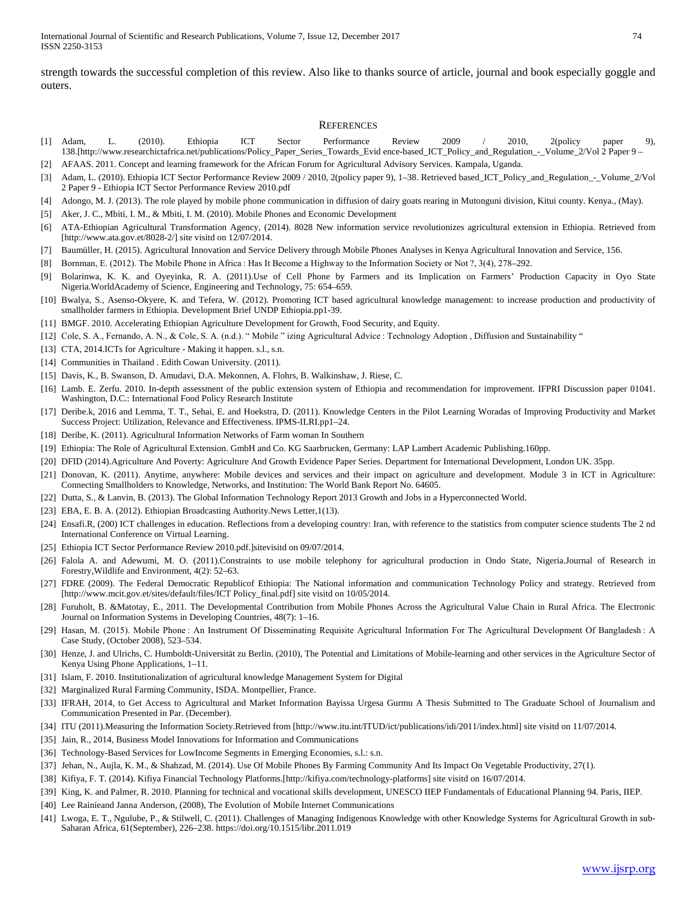strength towards the successful completion of this review. Also like to thanks source of article, journal and book especially goggle and outers.

#### **REFERENCES**

- [1] Adam, L. (2010). Ethiopia ICT Sector Performance Review 2009 / 2010, 2(policy paper 9), 138.[http://www.researchictafrica.net/publications/Policy\_Paper\_Series\_Towards\_Evid ence-based\_ICT\_Policy\_and\_Regulation\_-\_Volume\_2/Vol 2 Paper 9 –
- [2] AFAAS. 2011. Concept and learning framework for the African Forum for Agricultural Advisory Services. Kampala, Uganda.
- [3] Adam, L. (2010). Ethiopia ICT Sector Performance Review 2009 / 2010, 2(policy paper 9), 1–38. Retrieved based\_ICT\_Policy\_and\_Regulation\_-\_Volume\_2/Vol 2 Paper 9 - Ethiopia ICT Sector Performance Review 2010.pdf
- [4] Adongo, M. J. (2013). The role played by mobile phone communication in diffusion of dairy goats rearing in Mutonguni division, Kitui county. Kenya., (May).
- [5] Aker, J. C., Mbiti, I. M., & Mbiti, I. M. (2010). Mobile Phones and Economic Development
- [6] ATA-Ethiopian Agricultural Transformation Agency, (2014). 8028 New information service revolutionizes agricultural extension in Ethiopia. Retrieved from [http://www.ata.gov.et/8028-2/] site visitd on 12/07/2014.
- [7] Baumüller, H. (2015). Agricultural Innovation and Service Delivery through Mobile Phones Analyses in Kenya Agricultural Innovation and Service, 156.
- [8] Bornman, E. (2012). The Mobile Phone in Africa : Has It Become a Highway to the Information Society or Not ?, 3(4), 278–292.
- [9] Bolarinwa, K. K. and Oyeyinka, R. A. (2011).Use of Cell Phone by Farmers and its Implication on Farmers' Production Capacity in Oyo State Nigeria.WorldAcademy of Science, Engineering and Technology, 75: 654–659.
- [10] Bwalya, S., Asenso-Okyere, K. and Tefera, W. (2012). Promoting ICT based agricultural knowledge management: to increase production and productivity of smallholder farmers in Ethiopia. Development Brief UNDP Ethiopia.pp1-39.
- [11] BMGF. 2010. Accelerating Ethiopian Agriculture Development for Growth, Food Security, and Equity.
- [12] Cole, S. A., Fernando, A. N., & Cole, S. A. (n.d.). " Mobile " izing Agricultural Advice : Technology Adoption , Diffusion and Sustainability "
- [13] CTA, 2014.ICTs for Agriculture Making it happen. s.l., s.n.
- [14] Communities in Thailand . Edith Cowan University. (2011).
- [15] Davis, K., B. Swanson, D. Amudavi, D.A. Mekonnen, A. Flohrs, B. Walkinshaw, J. Riese, C.
- [16] Lamb. E. Zerfu. 2010. In-depth assessment of the public extension system of Ethiopia and recommendation for improvement. IFPRI Discussion paper 01041. Washington, D.C.: International Food Policy Research Institute
- [17] Deribe.k, 2016 and Lemma, T. T., Sehai, E. and Hoekstra, D. (2011). Knowledge Centers in the Pilot Learning Woradas of Improving Productivity and Market Success Project: Utilization, Relevance and Effectiveness. IPMS-ILRI.pp1–24.
- [18] Deribe, K. (2011). Agricultural Information Networks of Farm woman In Southern
- [19] Ethiopia: The Role of Agricultural Extension. GmbH and Co. KG Saarbrucken, Germany: LAP Lambert Academic Publishing.160pp.
- [20] DFID (2014).Agriculture And Poverty: Agriculture And Growth Evidence Paper Series. Department for International Development, London UK. 35pp.
- [21] Donovan, K. (2011). Anytime, anywhere: Mobile devices and services and their impact on agriculture and development. Module 3 in ICT in Agriculture: Connecting Smallholders to Knowledge, Networks, and Institution: The World Bank Report No. 64605.
- [22] Dutta, S., & Lanvin, B. (2013). The Global Information Technology Report 2013 Growth and Jobs in a Hyperconnected World.
- [23] EBA, E. B. A. (2012). Ethiopian Broadcasting Authority.News Letter, 1(13).
- [24] Ensafi.R, (200) ICT challenges in education. Reflections from a developing country: Iran, with reference to the statistics from computer science students The 2 nd International Conference on Virtual Learning.
- [25] Ethiopia ICT Sector Performance Review 2010.pdf.]sitevisitd on 09/07/2014.
- [26] Falola A. and Adewumi, M. O. (2011).Constraints to use mobile telephony for agricultural production in Ondo State, Nigeria.Journal of Research in Forestry,Wildlife and Environment, 4(2): 52–63.
- [27] FDRE (2009). The Federal Democratic Republicof Ethiopia: The National information and communication Technology Policy and strategy. Retrieved from [http://www.mcit.gov.et/sites/default/files/ICT Policy\_final.pdf] site visitd on 10/05/2014.
- [28] Furuholt, B. &Matotay, E., 2011. The Developmental Contribution from Mobile Phones Across the Agricultural Value Chain in Rural Africa. The Electronic Journal on Information Systems in Developing Countries, 48(7): 1–16.
- [29] Hasan, M. (2015). Mobile Phone: An Instrument Of Disseminating Requisite Agricultural Information For The Agricultural Development Of Bangladesh: A Case Study, (October 2008), 523–534.
- [30] Henze, J. and Ulrichs, C. Humboldt-Universität zu Berlin. (2010), The Potential and Limitations of Mobile-learning and other services in the Agriculture Sector of Kenya Using Phone Applications, 1–11.
- [31] Islam, F. 2010. Institutionalization of agricultural knowledge Management System for Digital
- [32] Marginalized Rural Farming Community, ISDA. Montpellier, France.
- [33] IFRAH, 2014, to Get Access to Agricultural and Market Information Bayissa Urgesa Gurmu A Thesis Submitted to The Graduate School of Journalism and Communication Presented in Par. (December).
- [34] ITU (2011).Measuring the Information Society.Retrieved from [http://www.itu.int/ITUD/ict/publications/idi/2011/index.html] site visitd on 11/07/2014.
- [35] Jain, R., 2014, Business Model Innovations for Information and Communications
- [36] Technology-Based Services for LowIncome Segments in Emerging Economies, s.l.: s.n.
- [37] Jehan, N., Aujla, K. M., & Shahzad, M. (2014). Use Of Mobile Phones By Farming Community And Its Impact On Vegetable Productivity, 27(1).
- [38] Kifiya, F. T. (2014). Kifiya Financial Technology Platforms.[http://kifiya.com/technology-platforms] site visitd on 16/07/2014.
- [39] King, K. and Palmer, R. 2010. Planning for technical and vocational skills development, UNESCO IIEP Fundamentals of Educational Planning 94. Paris, IIEP.
- [40] Lee Rainieand Janna Anderson, (2008), The Evolution of Mobile Internet Communications
- [41] Lwoga, E. T., Ngulube, P., & Stilwell, C. (2011). Challenges of Managing Indigenous Knowledge with other Knowledge Systems for Agricultural Growth in sub-Saharan Africa, 61(September), 226–238. https://doi.org/10.1515/libr.2011.019